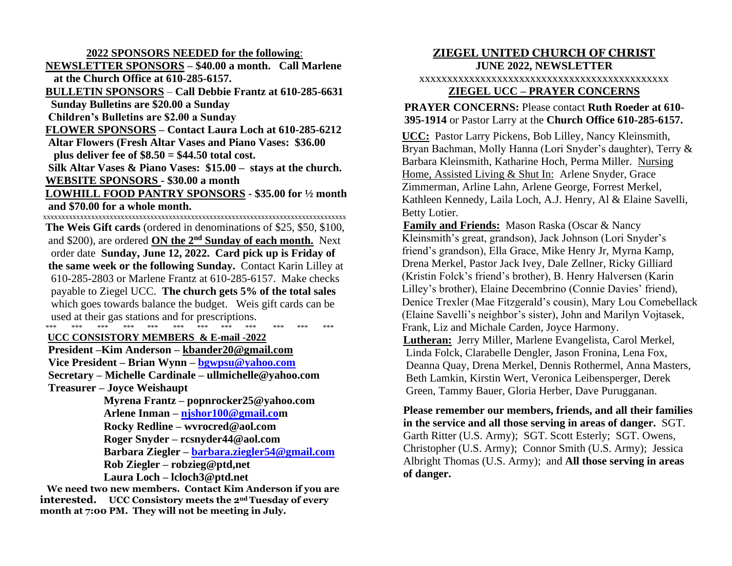**2022 SPONSORS NEEDED for the following**:

 **NEWSLETTER SPONSORS – \$40.00 a month. Call Marlene at the Church Office at 610-285-6157.**

 **BULLETIN SPONSORS** – **Call Debbie Frantz at 610-285-6631**

 **Sunday Bulletins are \$20.00 a Sunday**

 **Children's Bulletins are \$2.00 a Sunday**

 **FLOWER SPONSORS – Contact Laura Loch at 610-285-6212 Altar Flowers (Fresh Altar Vases and Piano Vases: \$36.00 plus deliver fee of \$8.50 = \$44.50 total cost.**

 **Silk Altar Vases & Piano Vases: \$15.00 – stays at the church. WEBSITE SPONSORS - \$30.00 a month**

 **LOWHILL FOOD PANTRY SPONSORS - \$35.00 for ½ month and \$70.00 for a whole month.**

xxxxxxxxxxxxxxxxxxxxxxxxxxxxxxxxxxxxxxxxxxxxxxxxxxxxxxxxxxxxxxxxxxxxxxxxxxxxxxxxxx  **The Weis Gift cards** (ordered in denominations of \$25, \$50, \$100, and \$200), are ordered **ON the 2nd Sunday of each month.** Next order date **Sunday, June 12, 2022. Card pick up is Friday of the same week or the following Sunday.** Contact Karin Lilley at 610-285-2803 or Marlene Frantz at 610-285-6157. Make checks payable to Ziegel UCC. **The church gets 5% of the total sales**  which goes towards balance the budget. Weis gift cards can be used at their gas stations and for prescriptions.

 \*\*\* \*\*\* \*\*\* \*\*\* \*\*\* \*\*\* \*\*\* \*\*\* \*\*\* \*\*\* \*\*\* \*\*\*  **UCC CONSISTORY MEMBERS & E-mail -2022**

 **President –Kim Anderson – [kbander20@gmail.com](mailto:kbander20@gmail.com) Vice President – Brian Wynn – [bgwpsu@yahoo.com](mailto:bgwpsu@yahoo.com) Secretary – Michelle Cardinale – ullmichelle@yahoo.com Treasurer – Joyce Weishaupt** 

 **Myrena Frantz – popnrocker25@yahoo.com Arlene Inman – [njshor100@gmail.com](mailto:njshor100@gmail.coi) Rocky Redline – wvrocred@aol.com Roger Snyder – rcsnyder44@aol.com Barbara Ziegler – [barbara.ziegler54@gmail.com](mailto:barbara.ziegler54@gmail.com) Rob Ziegler – robzieg@ptd,net Laura Loch – lcloch3@ptd.net**

 **We need two new members. Contact Kim Anderson if you are interested. UCC Consistory meets the 2nd Tuesday of every month at 7:00 PM. They will not be meeting in July.**

## **ZIEGEL UNITED CHURCH OF CHRIST JUNE 2022, NEWSLETTER** xxxxxxxxxxxxxxxxxxxxxxxxxxxxxxxxxxxxxxxxxxxxx **ZIEGEL UCC – PRAYER CONCERNS**

**PRAYER CONCERNS:** Please contact **Ruth Roeder at 610- 395-1914** or Pastor Larry at the **Church Office 610-285-6157.**

**UCC:** Pastor Larry Pickens, Bob Lilley, Nancy Kleinsmith, Bryan Bachman, Molly Hanna (Lori Snyder's daughter), Terry & Barbara Kleinsmith, Katharine Hoch, Perma Miller. Nursing Home, Assisted Living & Shut In: Arlene Snyder, Grace Zimmerman, Arline Lahn, Arlene George, Forrest Merkel, Kathleen Kennedy, Laila Loch, A.J. Henry, Al & Elaine Savelli, Betty Lotier.

**Family and Friends:** Mason Raska (Oscar & Nancy Kleinsmith's great, grandson), Jack Johnson (Lori Snyder's friend's grandson), Ella Grace, Mike Henry Jr, Myrna Kamp, Drena Merkel, Pastor Jack Ivey, Dale Zellner, Ricky Gilliard (Kristin Folck's friend's brother), B. Henry Halversen (Karin Lilley's brother), Elaine Decembrino (Connie Davies' friend), Denice Trexler (Mae Fitzgerald's cousin), Mary Lou Comebellack (Elaine Savelli's neighbor's sister), John and Marilyn Vojtasek, Frank, Liz and Michale Carden, Joyce Harmony.  **Lutheran:** Jerry Miller, Marlene Evangelista, Carol Merkel, Linda Folck, Clarabelle Dengler, Jason Fronina, Lena Fox, Deanna Quay, Drena Merkel, Dennis Rothermel, Anna Masters, Beth Lamkin, Kirstin Wert, Veronica Leibensperger, Derek Green, Tammy Bauer, Gloria Herber, Dave Purugganan.

 **Please remember our members, friends, and all their families in the service and all those serving in areas of danger.** SGT. Garth Ritter (U.S. Army); SGT. Scott Esterly; SGT. Owens, Christopher (U.S. Army); Connor Smith (U.S. Army); Jessica Albright Thomas (U.S. Army); and **All those serving in areas of danger.**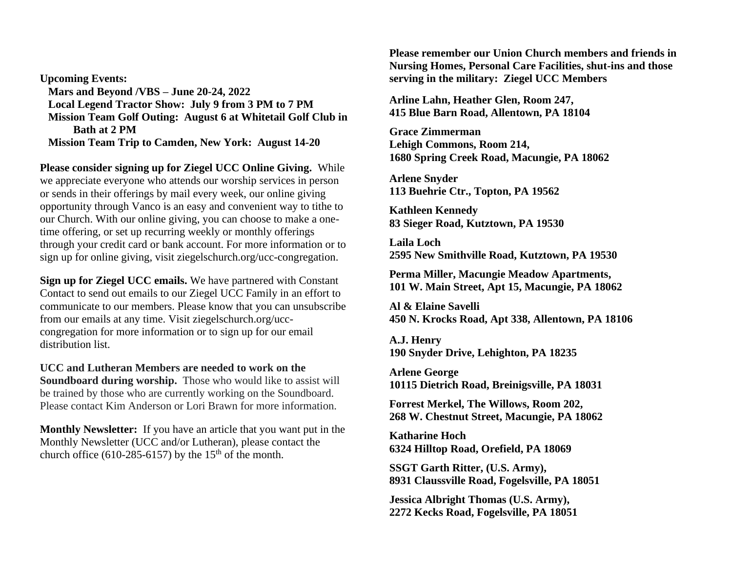**Upcoming Events: Mars and Beyond /VBS – June 20-24, 2022 Local Legend Tractor Show: July 9 from 3 PM to 7 PM Mission Team Golf Outing: August 6 at Whitetail Golf Club in Bath at 2 PM Mission Team Trip to Camden, New York: August 14-20**

**Please consider signing up for Ziegel UCC Online Giving.** While we appreciate everyone who attends our worship services in person or sends in their offerings by mail every week, our online giving opportunity through Vanco is an easy and convenient way to tithe to our Church. With our online giving, you can choose to make a onetime offering, or set up recurring weekly or monthly offerings through your credit card or bank account. For more information or to sign up for online giving, visit ziegelschurch.org/ucc-congregation.

**Sign up for Ziegel UCC emails.** We have partnered with Constant Contact to send out emails to our Ziegel UCC Family in an effort to communicate to our members. Please know that you can unsubscribe from our emails at any time. Visit ziegelschurch.org/ucccongregation for more information or to sign up for our email distribution list.

**UCC and Lutheran Members are needed to work on the Soundboard during worship.** Those who would like to assist will be trained by those who are currently working on the Soundboard. Please contact Kim Anderson or Lori Brawn for more information.

**Monthly Newsletter:** If you have an article that you want put in the Monthly Newsletter (UCC and/or Lutheran), please contact the church office (610-285-6157) by the  $15<sup>th</sup>$  of the month.

**Please remember our Union Church members and friends in Nursing Homes, Personal Care Facilities, shut-ins and those serving in the military: Ziegel UCC Members**

**Arline Lahn, Heather Glen, Room 247, 415 Blue Barn Road, Allentown, PA 18104**

**Grace Zimmerman Lehigh Commons, Room 214, 1680 Spring Creek Road, Macungie, PA 18062**

**Arlene Snyder 113 Buehrie Ctr., Topton, PA 19562**

**Kathleen Kennedy 83 Sieger Road, Kutztown, PA 19530**

**Laila Loch 2595 New Smithville Road, Kutztown, PA 19530**

**Perma Miller, Macungie Meadow Apartments, 101 W. Main Street, Apt 15, Macungie, PA 18062**

**Al & Elaine Savelli 450 N. Krocks Road, Apt 338, Allentown, PA 18106**

**A.J. Henry 190 Snyder Drive, Lehighton, PA 18235**

**Arlene George 10115 Dietrich Road, Breinigsville, PA 18031**

**Forrest Merkel, The Willows, Room 202, 268 W. Chestnut Street, Macungie, PA 18062**

**Katharine Hoch 6324 Hilltop Road, Orefield, PA 18069**

**SSGT Garth Ritter, (U.S. Army), 8931 Claussville Road, Fogelsville, PA 18051**

**Jessica Albright Thomas (U.S. Army), 2272 Kecks Road, Fogelsville, PA 18051**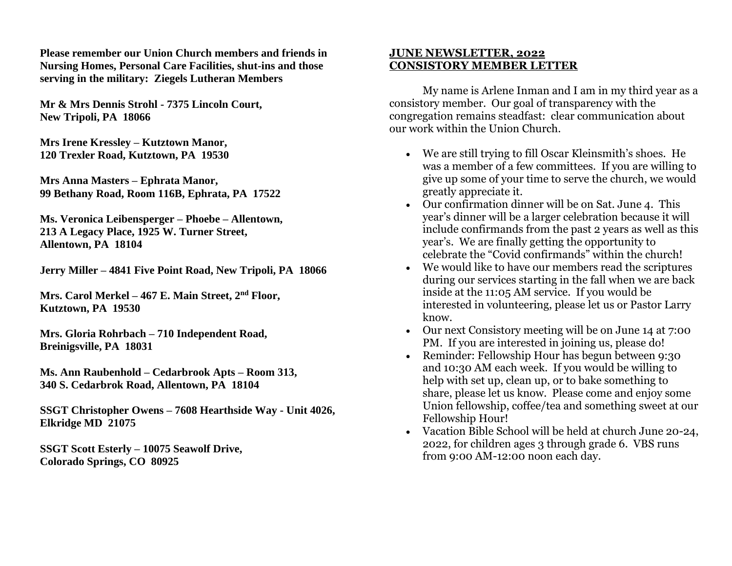**Please remember our Union Church members and friends in Nursing Homes, Personal Care Facilities, shut-ins and those serving in the military: Ziegels Lutheran Members**

**Mr & Mrs Dennis Strohl - 7375 Lincoln Court, New Tripoli, PA 18066**

**Mrs Irene Kressley – Kutztown Manor, 120 Trexler Road, Kutztown, PA 19530**

**Mrs Anna Masters – Ephrata Manor, 99 Bethany Road, Room 116B, Ephrata, PA 17522**

**Ms. Veronica Leibensperger – Phoebe – Allentown, 213 A Legacy Place, 1925 W. Turner Street, Allentown, PA 18104**

**Jerry Miller – 4841 Five Point Road, New Tripoli, PA 18066**

**Mrs. Carol Merkel – 467 E. Main Street, 2nd Floor, Kutztown, PA 19530**

**Mrs. Gloria Rohrbach – 710 Independent Road, Breinigsville, PA 18031**

**Ms. Ann Raubenhold – Cedarbrook Apts – Room 313, 340 S. Cedarbrok Road, Allentown, PA 18104**

**SSGT Christopher Owens – 7608 Hearthside Way - Unit 4026, Elkridge MD 21075**

**SSGT Scott Esterly – 10075 Seawolf Drive, Colorado Springs, CO 80925**

## **JUNE NEWSLETTER, 2022 CONSISTORY MEMBER LETTER**

My name is Arlene Inman and I am in my third year as a consistory member. Our goal of transparency with the congregation remains steadfast: clear communication about our work within the Union Church.

- We are still trying to fill Oscar Kleinsmith's shoes. He was a member of a few committees. If you are willing to give up some of your time to serve the church, we would greatly appreciate it.
- Our confirmation dinner will be on Sat. June 4. This year's dinner will be a larger celebration because it will include confirmands from the past 2 years as well as this year's. We are finally getting the opportunity to celebrate the "Covid confirmands" within the church!
- We would like to have our members read the scriptures during our services starting in the fall when we are back inside at the 11:05 AM service. If you would be interested in volunteering, please let us or Pastor Larry know.
- Our next Consistory meeting will be on June 14 at 7:00 PM. If you are interested in joining us, please do!
- Reminder: Fellowship Hour has begun between 9:30 and 10:30 AM each week. If you would be willing to help with set up, clean up, or to bake something to share, please let us know. Please come and enjoy some Union fellowship, coffee/tea and something sweet at our Fellowship Hour!
- Vacation Bible School will be held at church June 20-24, 2022, for children ages 3 through grade 6. VBS runs from 9:00 AM-12:00 noon each day.